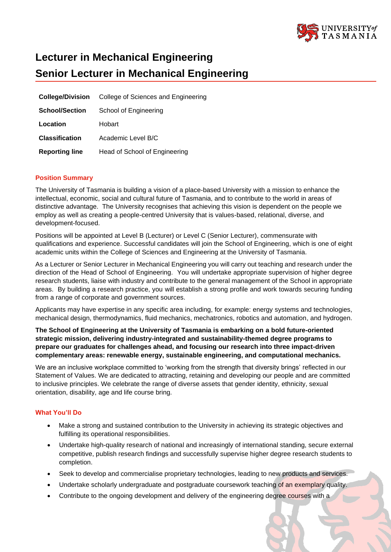

# **Lecturer in Mechanical Engineering Senior Lecturer in Mechanical Engineering**

| <b>College/Division</b> | College of Sciences and Engineering |
|-------------------------|-------------------------------------|
| <b>School/Section</b>   | School of Engineering               |
| Location                | Hobart                              |
| <b>Classification</b>   | Academic Level B/C                  |
| <b>Reporting line</b>   | Head of School of Engineering       |

# **Position Summary**

The University of Tasmania is building a vision of a place-based University with a mission to enhance the intellectual, economic, social and cultural future of Tasmania, and to contribute to the world in areas of distinctive advantage. The University recognises that achieving this vision is dependent on the people we employ as well as creating a people-centred University that is values-based, relational, diverse, and development-focused.

Positions will be appointed at Level B (Lecturer) or Level C (Senior Lecturer), commensurate with qualifications and experience. Successful candidates will join the School of Engineering, which is one of eight academic units within the College of Sciences and Engineering at the University of Tasmania.

As a Lecturer or Senior Lecturer in Mechanical Engineering you will carry out teaching and research under the direction of the Head of School of Engineering. You will undertake appropriate supervision of higher degree research students, liaise with industry and contribute to the general management of the School in appropriate areas. By building a research practice, you will establish a strong profile and work towards securing funding from a range of corporate and government sources.

Applicants may have expertise in any specific area including, for example: energy systems and technologies, mechanical design, thermodynamics, fluid mechanics, mechatronics, robotics and automation, and hydrogen.

**The School of Engineering at the University of Tasmania is embarking on a bold future-oriented strategic mission, delivering industry-integrated and sustainability-themed degree programs to prepare our graduates for challenges ahead, and focusing our research into three impact-driven complementary areas: renewable energy, sustainable engineering, and computational mechanics.**

We are an inclusive workplace committed to 'working from the strength that diversity brings' reflected in our Statement of Values. We are dedicated to attracting, retaining and developing our people and are committed to inclusive principles. We celebrate the range of diverse assets that gender identity, ethnicity, sexual orientation, disability, age and life course bring.

## **What You'll Do**

- Make a strong and sustained contribution to the University in achieving its strategic objectives and fulfilling its operational responsibilities.
- Undertake high-quality research of national and increasingly of international standing, secure external competitive, publish research findings and successfully supervise higher degree research students to completion.
- Seek to develop and commercialise proprietary technologies, leading to new products and services.
- Undertake scholarly undergraduate and postgraduate coursework teaching of an exemplary quality.
- Contribute to the ongoing development and delivery of the engineering degree courses with a